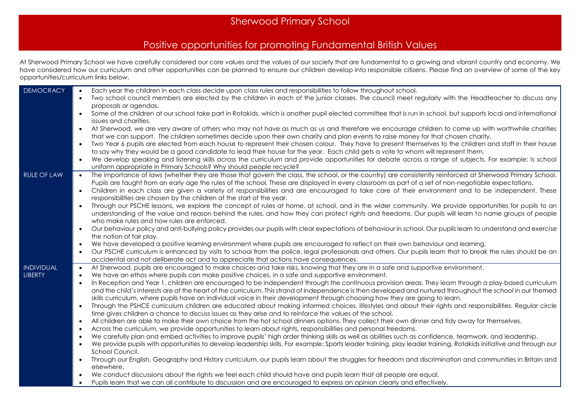## Sherwood Primary School

## Positive opportunities for promoting Fundamental British Values

At Sherwood Primary School we have carefully considered our core values and the values of our society that are fundamental to a growing and vibrant country and economy. We have considered how our curriculum and other opportunities can be planned to ensure our children develop into responsible citizens. Please find an overview of some of the key opportunities/curriculum links below.

| <b>DEMOCRACY</b>                    | Each year the children in each class decide upon class rules and responsibilities to follow throughout school.<br>$\bullet$<br>Two school council members are elected by the children in each of the junior classes. The council meet regularly with the Headteacher to discuss any<br>$\bullet$                                                                             |
|-------------------------------------|------------------------------------------------------------------------------------------------------------------------------------------------------------------------------------------------------------------------------------------------------------------------------------------------------------------------------------------------------------------------------|
|                                     | proposals or agendas.                                                                                                                                                                                                                                                                                                                                                        |
|                                     | Some of the children at our school take part in Rotakids, which is another pupil elected committee that is run in school, but supports local and international<br>$\bullet$<br>issues and charities.                                                                                                                                                                         |
|                                     | At Sherwood, we are very aware of others who may not have as much as us and therefore we encourage children to come up with worthwhile charities<br>$\bullet$<br>that we can support. The children sometimes decide upon their own charity and plan events to raise money for that chosen charity.                                                                           |
|                                     | Two Year 6 pupils are elected from each house to represent their chosen colour. They have to present themselves to the children and staff in their house<br>$\bullet$                                                                                                                                                                                                        |
|                                     | to say why they would be a good candidate to lead their house for the year. Each child gets a vote to whom will represent them.<br>We develop speaking and listening skills across the curriculum and provide opportunities for debate across a range of subjects. For example: Is school<br>$\bullet$<br>uniform appropriate in Primary Schools? Why should people recycle? |
| <b>RULE OF LAW</b>                  | The importance of laws (whether they are those that govern the class, the school, or the country) are consistently reinforced at Sherwood Primary School.<br>$\bullet$<br>Pupils are taught from an early age the rules of the school. These are displayed in every classroom as part of a set of non-negotiable expectations.                                               |
|                                     | Children in each class are given a variety of responsibilities and are encouraged to take care of their environment and to be independent. These<br>$\bullet$<br>responsibilities are chosen by the children at the start of the year.                                                                                                                                       |
|                                     | Through our PSCHE lessons, we explore the concept of rules at home, at school, and in the wider community. We provide opportunities for pupils to an<br>$\bullet$<br>understanding of the value and reason behind the rules, and how they can protect rights and freedoms. Our pupils will learn to name groups of people                                                    |
|                                     | who make rules and how rules are enforced.                                                                                                                                                                                                                                                                                                                                   |
|                                     | Our behaviour policy and anti-bullying policy provides our pupils with clear expectations of behaviour in school. Our pupils learn to understand and exercise<br>$\bullet$<br>the notion of fair play.                                                                                                                                                                       |
|                                     | We have developed a positive learning environment where pupils are encouraged to reflect on their own behaviour and learning.<br>$\bullet$                                                                                                                                                                                                                                   |
|                                     | Our PSCHE curriculum is enhanced by visits to school from the police, legal professionals and others. Our pupils learn that to break the rules should be an<br>$\bullet$<br>accidental and not deliberate act and to appreciate that actions have consequences.                                                                                                              |
| <b>INDIVIDUAL</b><br><b>LIBERTY</b> | At Sherwood, pupils are encouraged to make choices and take risks, knowing that they are in a safe and supportive environment.<br>$\bullet$<br>We have an ethos where pupils can make positive choices, in a safe and supportive environment.<br>$\bullet$                                                                                                                   |
|                                     | In Reception and Year 1, children are encouraged to be independent through the continuous provision areas. They learn through a play-based curriculum<br>$\bullet$<br>and the child's interests are at the heart of the curriculum. This strand of independence is then developed and nurtured throughout the school in our themed                                           |
|                                     | skills curriculum, where pupils have an individual voice in their development through choosing how they are going to learn.                                                                                                                                                                                                                                                  |
|                                     | Through the PSHCE curriculum children are educated about making informed choices, lifestyles and about their rights and responsibilities. Regular circle<br>$\bullet$<br>time gives children a chance to discuss issues as they arise and to reinforce the values of the school.                                                                                             |
|                                     | All children are able to make their own choice from the hot school dinners options. They collect their own dinner and tidy away for themselves.<br>$\bullet$<br>Across the curriculum, we provide opportunities to learn about rights, responsibilities and personal freedoms.<br>$\bullet$                                                                                  |
|                                     | We carefully plan and embed activities to improve pupils' high order thinking skills as well as abilities such as confidence, teamwork, and leadership.<br>$\bullet$<br>We provide pupils with opportunities to develop leadership skills. For example: Sports leader training, play leader training, Rotakids initiative and through our<br>$\bullet$<br>School Council.    |
|                                     | Through our English, Geography and History curriculum, our pupils learn about the struggles for freedom and discrimination and communities in Britain and<br>$\bullet$<br>elsewhere.                                                                                                                                                                                         |
|                                     | We conduct discussions about the rights we feel each child should have and pupils learn that all people are equal.<br>$\bullet$                                                                                                                                                                                                                                              |
|                                     | Pupils learn that we can all contribute to discussion and are encouraged to express an opinion clearly and effectively.                                                                                                                                                                                                                                                      |